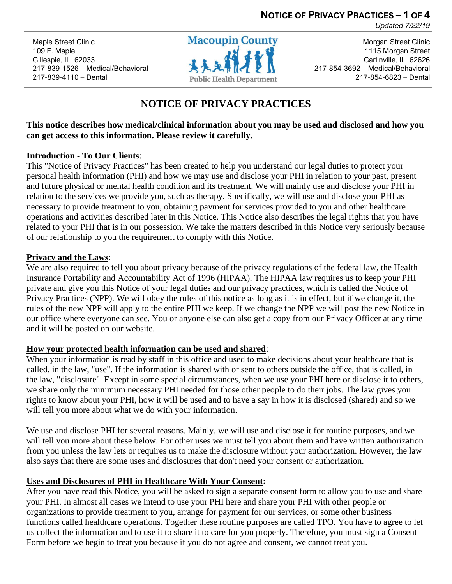**NOTICE OF PRIVACY PRACTICES – 1 OF 4**

*Updated 7/22/19*

Maple Street Clinic 109 E. Maple Gillespie, IL 62033 217-839-1526 – Medical/Behavioral 217-839-4110 – Dental



Morgan Street Clinic 1115 Morgan Street Carlinville, IL 62626 217-854-3692 – Medical/Behavioral 217-854-6823 – Dental

# **NOTICE OF PRIVACY PRACTICES**

# **This notice describes how medical/clinical information about you may be used and disclosed and how you can get access to this information. Please review it carefully.**

# **Introduction - To Our Clients**:

This "Notice of Privacy Practices" has been created to help you understand our legal duties to protect your personal health information (PHI) and how we may use and disclose your PHI in relation to your past, present and future physical or mental health condition and its treatment. We will mainly use and disclose your PHI in relation to the services we provide you, such as therapy. Specifically, we will use and disclose your PHI as necessary to provide treatment to you, obtaining payment for services provided to you and other healthcare operations and activities described later in this Notice. This Notice also describes the legal rights that you have related to your PHI that is in our possession. We take the matters described in this Notice very seriously because of our relationship to you the requirement to comply with this Notice.

# **Privacy and the Laws**:

We are also required to tell you about privacy because of the privacy regulations of the federal law, the Health Insurance Portability and Accountability Act of 1996 (HIPAA). The HIPAA law requires us to keep your PHI private and give you this Notice of your legal duties and our privacy practices, which is called the Notice of Privacy Practices (NPP). We will obey the rules of this notice as long as it is in effect, but if we change it, the rules of the new NPP will apply to the entire PHI we keep. If we change the NPP we will post the new Notice in our office where everyone can see. You or anyone else can also get a copy from our Privacy Officer at any time and it will be posted on our website.

# **How your protected health information can be used and shared**:

When your information is read by staff in this office and used to make decisions about your healthcare that is called, in the law, "use". If the information is shared with or sent to others outside the office, that is called, in the law, "disclosure". Except in some special circumstances, when we use your PHI here or disclose it to others, we share only the minimum necessary PHI needed for those other people to do their jobs. The law gives you rights to know about your PHI, how it will be used and to have a say in how it is disclosed (shared) and so we will tell you more about what we do with your information.

We use and disclose PHI for several reasons. Mainly, we will use and disclose it for routine purposes, and we will tell you more about these below. For other uses we must tell you about them and have written authorization from you unless the law lets or requires us to make the disclosure without your authorization. However, the law also says that there are some uses and disclosures that don't need your consent or authorization.

# **Uses and Disclosures of PHI in Healthcare With Your Consent:**

After you have read this Notice, you will be asked to sign a separate consent form to allow you to use and share your PHI. In almost all cases we intend to use your PHI here and share your PHI with other people or organizations to provide treatment to you, arrange for payment for our services, or some other business functions called healthcare operations. Together these routine purposes are called TPO. You have to agree to let us collect the information and to use it to share it to care for you properly. Therefore, you must sign a Consent Form before we begin to treat you because if you do not agree and consent, we cannot treat you.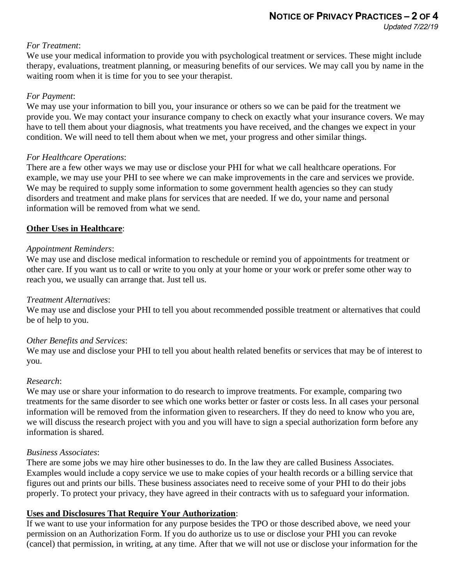# *For Treatment*:

We use your medical information to provide you with psychological treatment or services. These might include therapy, evaluations, treatment planning, or measuring benefits of our services. We may call you by name in the waiting room when it is time for you to see your therapist.

#### *For Payment*:

We may use your information to bill you, your insurance or others so we can be paid for the treatment we provide you. We may contact your insurance company to check on exactly what your insurance covers. We may have to tell them about your diagnosis, what treatments you have received, and the changes we expect in your condition. We will need to tell them about when we met, your progress and other similar things.

## *For Healthcare Operations*:

There are a few other ways we may use or disclose your PHI for what we call healthcare operations. For example, we may use your PHI to see where we can make improvements in the care and services we provide. We may be required to supply some information to some government health agencies so they can study disorders and treatment and make plans for services that are needed. If we do, your name and personal information will be removed from what we send.

## **Other Uses in Healthcare**:

## *Appointment Reminders*:

We may use and disclose medical information to reschedule or remind you of appointments for treatment or other care. If you want us to call or write to you only at your home or your work or prefer some other way to reach you, we usually can arrange that. Just tell us.

#### *Treatment Alternatives*:

We may use and disclose your PHI to tell you about recommended possible treatment or alternatives that could be of help to you.

#### *Other Benefits and Services*:

We may use and disclose your PHI to tell you about health related benefits or services that may be of interest to you.

#### *Research*:

We may use or share your information to do research to improve treatments. For example, comparing two treatments for the same disorder to see which one works better or faster or costs less. In all cases your personal information will be removed from the information given to researchers. If they do need to know who you are, we will discuss the research project with you and you will have to sign a special authorization form before any information is shared.

#### *Business Associates*:

There are some jobs we may hire other businesses to do. In the law they are called Business Associates. Examples would include a copy service we use to make copies of your health records or a billing service that figures out and prints our bills. These business associates need to receive some of your PHI to do their jobs properly. To protect your privacy, they have agreed in their contracts with us to safeguard your information.

# **Uses and Disclosures That Require Your Authorization**:

If we want to use your information for any purpose besides the TPO or those described above, we need your permission on an Authorization Form. If you do authorize us to use or disclose your PHI you can revoke (cancel) that permission, in writing, at any time. After that we will not use or disclose your information for the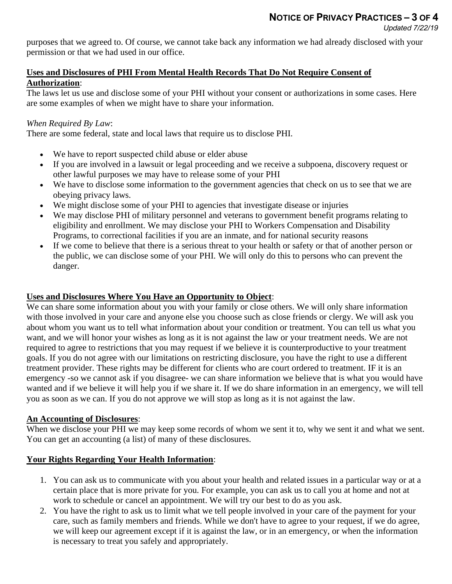purposes that we agreed to. Of course, we cannot take back any information we had already disclosed with your permission or that we had used in our office.

## **Uses and Disclosures of PHI From Mental Health Records That Do Not Require Consent of Authorization**:

The laws let us use and disclose some of your PHI without your consent or authorizations in some cases. Here are some examples of when we might have to share your information.

# *When Required By Law*:

There are some federal, state and local laws that require us to disclose PHI.

- We have to report suspected child abuse or elder abuse
- If you are involved in a lawsuit or legal proceeding and we receive a subpoena, discovery request or other lawful purposes we may have to release some of your PHI
- We have to disclose some information to the government agencies that check on us to see that we are obeying privacy laws.
- We might disclose some of your PHI to agencies that investigate disease or injuries
- We may disclose PHI of military personnel and veterans to government benefit programs relating to eligibility and enrollment. We may disclose your PHI to Workers Compensation and Disability Programs, to correctional facilities if you are an inmate, and for national security reasons
- If we come to believe that there is a serious threat to your health or safety or that of another person or the public, we can disclose some of your PHI. We will only do this to persons who can prevent the danger.

# **Uses and Disclosures Where You Have an Opportunity to Object**:

We can share some information about you with your family or close others. We will only share information with those involved in your care and anyone else you choose such as close friends or clergy. We will ask you about whom you want us to tell what information about your condition or treatment. You can tell us what you want, and we will honor your wishes as long as it is not against the law or your treatment needs. We are not required to agree to restrictions that you may request if we believe it is counterproductive to your treatment goals. If you do not agree with our limitations on restricting disclosure, you have the right to use a different treatment provider. These rights may be different for clients who are court ordered to treatment. IF it is an emergency -so we cannot ask if you disagree- we can share information we believe that is what you would have wanted and if we believe it will help you if we share it. If we do share information in an emergency, we will tell you as soon as we can. If you do not approve we will stop as long as it is not against the law.

# **An Accounting of Disclosures**:

When we disclose your PHI we may keep some records of whom we sent it to, why we sent it and what we sent. You can get an accounting (a list) of many of these disclosures.

# **Your Rights Regarding Your Health Information**:

- 1. You can ask us to communicate with you about your health and related issues in a particular way or at a certain place that is more private for you. For example, you can ask us to call you at home and not at work to schedule or cancel an appointment. We will try our best to do as you ask.
- 2. You have the right to ask us to limit what we tell people involved in your care of the payment for your care, such as family members and friends. While we don't have to agree to your request, if we do agree, we will keep our agreement except if it is against the law, or in an emergency, or when the information is necessary to treat you safely and appropriately.